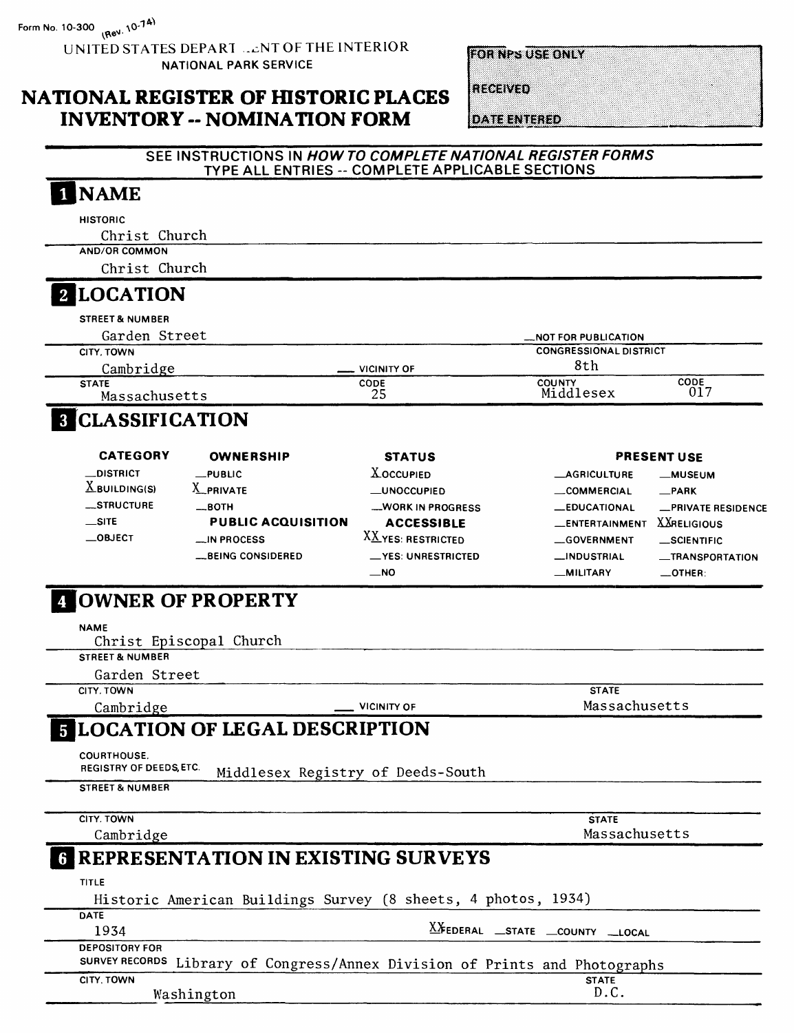UNITED STATES DEPART ... NT OF THE INTERIOR NATIONAL PARK SERVICE

**FOR NPS USE ONLY** 

# **NATIONAL REGISTER OF HISTORIC PLACES INVENTORY -- NOMINATION FORM**

RECEIVED

**DATE ENTERED** 

|                                                                                    | SEE INSTRUCTIONS IN HOW TO COMPLETE NATIONAL REGISTER FORMS                 | TYPE ALL ENTRIES -- COMPLETE APPLICABLE SECTIONS |                               |                           |
|------------------------------------------------------------------------------------|-----------------------------------------------------------------------------|--------------------------------------------------|-------------------------------|---------------------------|
| 1 NAME                                                                             |                                                                             |                                                  |                               |                           |
| <b>HISTORIC</b>                                                                    |                                                                             |                                                  |                               |                           |
| Christ Church                                                                      |                                                                             |                                                  |                               |                           |
| <b>AND/OR COMMON</b>                                                               |                                                                             |                                                  |                               |                           |
| Christ Church                                                                      |                                                                             |                                                  |                               |                           |
| <b>LOCATION</b>                                                                    |                                                                             |                                                  |                               |                           |
| <b>STREET &amp; NUMBER</b>                                                         |                                                                             |                                                  |                               |                           |
| Garden Street                                                                      |                                                                             |                                                  | NOT FOR PUBLICATION           |                           |
| CITY, TOWN                                                                         |                                                                             |                                                  | <b>CONGRESSIONAL DISTRICT</b> |                           |
| Cambridge                                                                          |                                                                             | <b>VICINITY OF</b>                               | 8th                           |                           |
| <b>STATE</b><br>Massachusetts                                                      |                                                                             | CODE<br>25                                       | <b>COUNTY</b><br>Middlesex    | CODE<br>017               |
| <b>8 CLASSIFICATION</b>                                                            |                                                                             |                                                  |                               |                           |
| <b>CATEGORY</b>                                                                    | <b>OWNERSHIP</b>                                                            | <b>STATUS</b>                                    |                               | <b>PRESENT USE</b>        |
| <b>__DISTRICT</b>                                                                  | $_{\rm -PUBLIC}$                                                            | <b>XOCCUPIED</b>                                 | <b>_AGRICULTURE</b>           | <b>__MUSEUM</b>           |
| $X$ BUILDING(S)                                                                    | X PRIVATE                                                                   | <b>__UNOCCUPIED</b>                              | <b>COMMERCIAL</b>             | $\_$ PARK                 |
| __STRUCTURE                                                                        | $\equiv$ BOTH                                                               | <b>WORK IN PROGRESS</b>                          | <b>_EDUCATIONAL</b>           | <b>_PRIVATE RESIDENCE</b> |
| $\equiv$ SITE                                                                      | <b>PUBLIC ACQUISITION</b>                                                   | <b>ACCESSIBLE</b>                                | <b>ENTERTAINMENT</b>          | <b>XXRELIGIOUS</b>        |
| $\_$ OBJECT                                                                        | <b>__IN PROCESS</b>                                                         | XX YES: RESTRICTED                               | <b>GOVERNMENT</b>             | $\_$ SCIENTIFIC           |
|                                                                                    | <b>_BEING CONSIDERED</b>                                                    | __YES: UNRESTRICTED                              | <b>__INDUSTRIAL</b>           | <b>__TRANSPORTATION</b>   |
|                                                                                    |                                                                             | $\overline{\phantom{0}}$ NO                      | <b>MILITARY</b>               | $\equiv$ OTHER:           |
| <b>NAME</b><br><b>STREET &amp; NUMBER</b><br>Garden Street                         | Christ Episcopal Church                                                     |                                                  |                               |                           |
| CITY, TOWN                                                                         |                                                                             |                                                  | <b>STATE</b>                  |                           |
| Cambridge                                                                          |                                                                             | <b>VICINITY OF</b>                               | Massachusetts                 |                           |
| <b>COURTHOUSE.</b><br><b>REGISTRY OF DEEDS, ETC.</b><br><b>STREET &amp; NUMBER</b> | <b>LOCATION OF LEGAL DESCRIPTION</b><br>Middlesex Registry of Deeds-South   |                                                  |                               |                           |
| <b>CITY. TOWN</b>                                                                  |                                                                             |                                                  | <b>STATE</b>                  |                           |
| Cambridge                                                                          |                                                                             |                                                  | Massachusetts                 |                           |
|                                                                                    | <b>REPRESENTATION IN EXISTING SURVEYS</b>                                   |                                                  |                               |                           |
| <b>TITLE</b>                                                                       |                                                                             |                                                  |                               |                           |
|                                                                                    | Historic American Buildings Survey (8 sheets, 4 photos, 1934)               |                                                  |                               |                           |
| <b>DATE</b><br>1934                                                                |                                                                             |                                                  | XXEDERAL STATE COUNTY LOCAL   |                           |
| <b>DEPOSITORY FOR</b>                                                              |                                                                             |                                                  |                               |                           |
|                                                                                    | SURVEY RECORDS Library of Congress/Annex Division of Prints and Photographs |                                                  |                               |                           |
| CITY, TOWN                                                                         | Washington                                                                  |                                                  | <b>STATE</b><br>D.C.          |                           |
|                                                                                    |                                                                             |                                                  |                               |                           |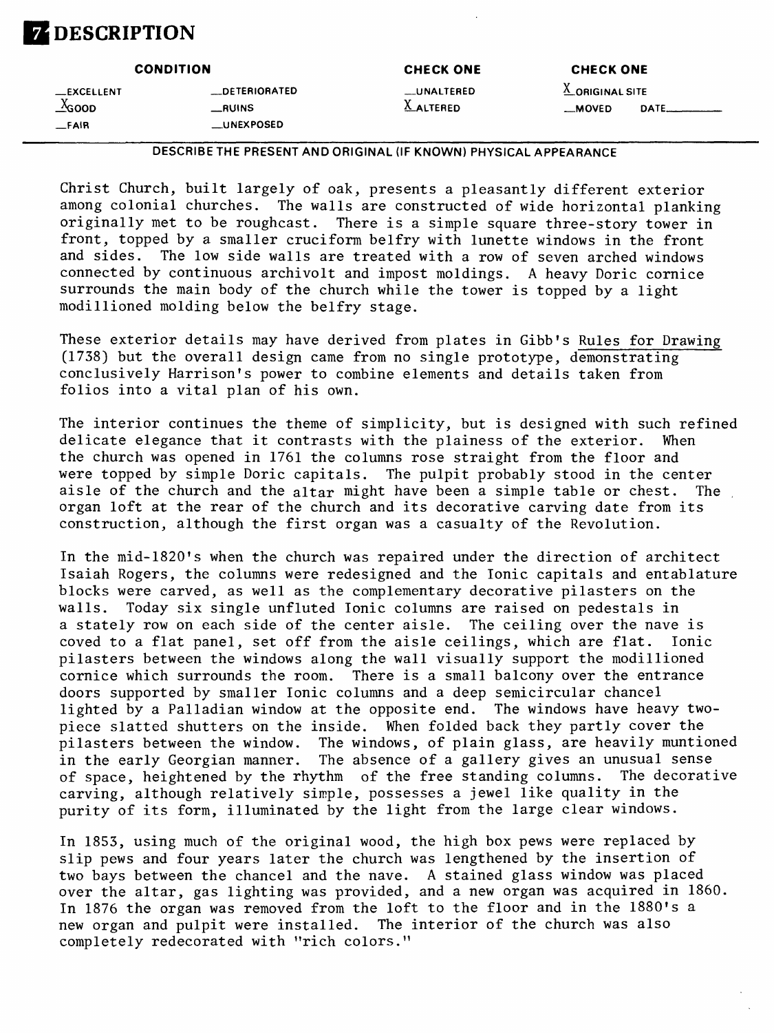# **ZDESCRIPTION**

|                  | <b>CONDITION</b>     | <b>CHECK ONE</b> | <b>CHECK ONE</b>       |       |
|------------------|----------------------|------------------|------------------------|-------|
| _EXCELLENT       | <b>LOETERIORATED</b> | __UNALTERED      | <b>A_ORIGINAL SITE</b> |       |
| $\triangle$ GOOD | __RUINS              | $X$ altered      | <b>MOVED</b>           | DATE. |
| $-FAIR$          | <b>LUNEXPOSED</b>    |                  |                        |       |

### *——————————***DESCRIBE THE PRESENT AND ORIGINAL (IF KNOWN) PHYSICAL APPEARANCE**

Christ Church, built largely of oak, presents a pleasantly different exterior among colonial churches. The walls are constructed of wide horizontal planking originally met to be roughcast. There is a simple square three-story tower in front, topped by a smaller cruciform belfry with lunette windows in the front and sides. The low side walls are treated with a row of seven arched windows connected by continuous archivolt and impost moldings. A heavy Doric cornice surrounds the main body of the church while the tower is topped by a light modillioned molding below the belfry stage.

These exterior details may have derived from plates in Gibb's Rules for Drawing (1738) but the overall design came from no single prototype, demonstrating conclusively Harrison's power to combine elements and details taken from folios into a vital plan of his own.

The interior continues the theme of simplicity, but is designed with such refined delicate elegance that it contrasts with the plainess of the exterior. When the church was opened in 1761 the columns rose straight from the floor and were topped by simple Doric capitals. The pulpit probably stood in the center aisle of the church and the altar might have been a simple table or chest. The organ loft at the rear of the church and its decorative carving date from its construction, although the first organ was a casualty of the Revolution.

In the mid-1820's when the church was repaired under the direction of architect Isaiah Rogers, the columns were redesigned and the Ionic capitals and entablature blocks were carved, as well as the complementary decorative pilasters on the walls. Today six single unfluted Ionic columns are raised on pedestals in a stately row on each side of the center aisle. The ceiling over the nave is coved to a flat panel, set off from the aisle ceilings, which are flat. Ionic pilasters between the windows along the wall visually support the modillioned cornice which surrounds the room. There is a small balcony over the entrance doors supported by smaller Ionic columns and a deep semicircular chancel<br>lighted by a Palladian window at the opposite end. The windows have heavy twolighted by a Palladian window at the opposite end. piece slatted shutters on the inside. When folded back they partly cover the pilasters between the window. The windows, of plain glass, are heavily muntioned in the early Georgian manner. The absence of a gallery gives an unusual sense of space, heightened by the rhythm of the free standing columns. The decorative carving, although relatively simple, possesses a jewel like quality in the purity of its form, illuminated by the light from the large clear windows.

In 1853, using much of the original wood, the high box pews were replaced by slip pews and four years later the church was lengthened by the insertion of two bays between the chancel and the nave. A stained glass window was placed over the altar, gas lighting was provided, and a new organ was acquired in 1860. In 1876 the organ was removed from the loft to the floor and in the 1880's a new organ and pulpit were installed. The interior of the church was also completely redecorated with "rich colors."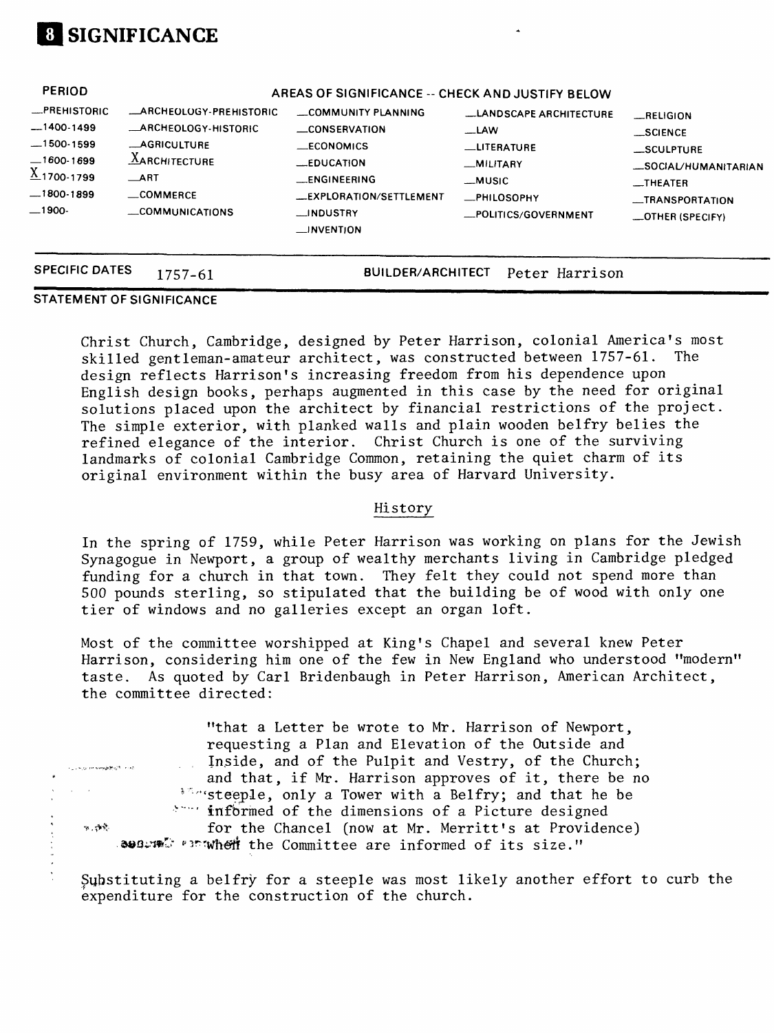

| <b>PERIOD</b><br>-PREHISTORIC                                                             | -ARCHEOLOGY-PREHISTORIC                                                                                   | AREAS OF SIGNIFICANCE -- CHECK AND JUSTIFY BELOW                                                                                                                   |                                                                                                                             |                                                                                                                                                         |
|-------------------------------------------------------------------------------------------|-----------------------------------------------------------------------------------------------------------|--------------------------------------------------------------------------------------------------------------------------------------------------------------------|-----------------------------------------------------------------------------------------------------------------------------|---------------------------------------------------------------------------------------------------------------------------------------------------------|
| $-1400-1499$<br>$-1500-1599$<br>$-1600-1699$<br>$X_{1700-1799}$<br>.1800-1899<br>$-1900-$ | -ARCHEOLOGY-HISTORIC<br><b>_AGRICULTURF</b><br><b>AARCHITECTURE</b><br>ART<br>-COMMERCE<br>COMMUNICATIONS | COMMUNITY PLANNING<br>CONSERVATION<br><b>ECONOMICS</b><br>$m$ EDUCATION<br><b>ENGINEERING</b><br><b>LEXPLORATION/SETTLEMENT</b><br>_INDUSTRY<br>$\equiv$ INVENTION | <b>LANDSCAPE ARCHITECTURE</b><br>_LAW<br>-LITERATURE<br>-MILITARY<br>$-MUSIC$<br><b>_PHILOSOPHY</b><br>-POLITICS/GOVERNMENT | $-$ RELIGION<br><b>SCIENCE</b><br>_SCULPTURE<br>-SOCIAL/HUMANITARIAN<br>$\overline{\phantom{a}}$ THEATER<br>-TRANSPORTATION<br>$\equiv$ OTHER (SPECIFY) |
| <b>SPECIFIC DATES</b>                                                                     | 1757-61                                                                                                   | <b>BUILDER/ARCHITECT</b>                                                                                                                                           | Peter Harrison                                                                                                              |                                                                                                                                                         |

#### **STATEMENT OF SIGNIFICANCE**

 $\sim$  ,  $\sim$   $\sim$ 

Christ Church, Cambridge, designed by Peter Harrison, colonial America's most skilled gentleman -amateur architect, was constructed between 1757-61. The design reflects Harrison 's increasing freedom from his dependence upon English design books, perhaps augmented in this case by the need for original solutions placed upon the architect by financial restrictions of the project. The simple exterior, with planked walls and plain wooden belfry belies the refined elegance of the interior. Christ Church is one of the surviving landmarks of colonial Cambridge Common, retaining the quiet charm of its original environment within the busy area of Harvard University.

#### History

In the spring of 1759, while Peter Harrison was working on plans for the Jewish Synagogue in Newport, a group of wealthy merchants living in Cambridge pledged funding for a church in that town. They felt they could not spend more than 500 pounds sterling, so stipulated that the building be of wood with only one tier of windows and no galleries except an organ loft.

Most of the committee worshipped at King's Chapel and several knew Peter Harrison, considering him one of the few in New England who understood "modern" taste. As quoted by Carl Bridenbaugh in Peter Harrison, American Architect, the committee directed:

"that a Letter be wrote to Mr. Harrison of Newport, requesting a Plan and Elevation of the Outside and Inside, and of the Pulpit and Vestry, of the Church; and that, if Mr. Harrison approves of it, there be no \*\*\*\*steeple, only a Tower with a Belfry; and that he be '""" infbrmed of the dimensions of a Picture designed for the Chancel (now at Mr. Merritt's at Providence) sequally around the Committee are informed of its size."

Substituting a belfry for a steeple was most likely another effort to curb the expenditure for the construction of the church.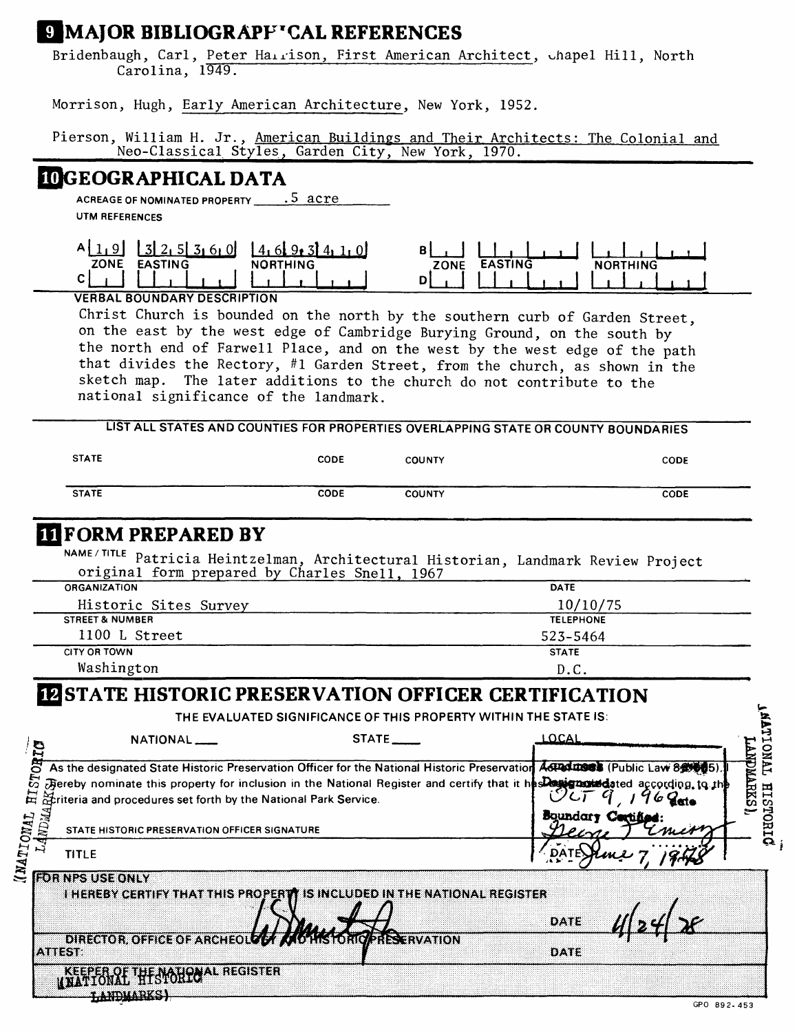# **E** MAJOR BIBLIOGRAPH' CAL REFERENCES

Bridenbaugh, Carl, Peter Hairison, First American Architect, Chapel Hill, North Carolina, 1949.

Morrison, Hugh, Early American Architecture, New York, 1952.

Pierson, William H. Jr., American Buildings and Their Architects: The Colonial and Neo-Classical Styles, Garden City, New York, 1970.

## **GEOGRAPHICAL DATA**

**ACREAGE OF NOMINATED PROPERTY.**  .5 acre

**UTM REFERENCES**

| . ol<br>-0I<br>- 1<br>6 <b>I</b><br>4 <sub>1</sub><br><b>ZONE</b><br><b>EASTING</b><br><b>NORTHING</b> | <b>EASTING</b><br><b>ZONE</b> | <b>NORTHING</b> |
|--------------------------------------------------------------------------------------------------------|-------------------------------|-----------------|
|                                                                                                        |                               |                 |
| <b>VERBAL BOUNDARY BECCRIPTION</b>                                                                     |                               |                 |

**VERBAL BOUNDARY DESCRIPTION**

Christ Church is bounded on the north by the southern curb of Garden Street, on the east by the west edge of Cambridge Burying Ground, on the south by the north end of Farwell Place, and on the west by the west edge of the path that divides the Rectory, #1 Garden Street, from the church, as shown in the sketch map. The later additions to the church do not contribute to the national significance of the landmark.

| NAME/TILE Patricia Heintzelman, Architectural Historian, Landmark Review Project<br>original form prepared by Charles Snell, 1967 |                  |
|-----------------------------------------------------------------------------------------------------------------------------------|------------------|
| <b>ORGANIZATION</b>                                                                                                               | <b>DATE</b>      |
| Historic Sites Survey                                                                                                             | 10/10/75         |
| <b>STREET &amp; NUMBER</b>                                                                                                        | <b>TELEPHONE</b> |
| 1100 L Street                                                                                                                     | 523-5464         |
| <b>CITY OR TOWN</b>                                                                                                               | <b>STATE</b>     |
| Washington                                                                                                                        | D.C.             |

# **IZ STATE HISTORIC PRESERVATION OFFICER CERTIFICATION**

|                                                                                                                                                                                                                                                                                                                       | THE EVALUATED SIGNIFICANCE OF THIS PROPERTY WITHIN THE STATE IS: |                                                                                                                                                                                |                                               |
|-----------------------------------------------------------------------------------------------------------------------------------------------------------------------------------------------------------------------------------------------------------------------------------------------------------------------|------------------------------------------------------------------|--------------------------------------------------------------------------------------------------------------------------------------------------------------------------------|-----------------------------------------------|
| NATIONAL <sub>-</sub><br><b>DI</b>                                                                                                                                                                                                                                                                                    | STATE_                                                           | _O.CAL                                                                                                                                                                         |                                               |
| ਤਿ<br>Figure by nominate this property for inclusion in the National Register and certify that it hes Day in the lacording, to the<br>Figure 2 Striteria and procedures set forth by the National Park Service.<br><b>THUL</b><br>THND<br>THND<br>STATE HISTORIC PRESERVATION OFFICER SIGNATURE<br>تہ<br><b>TITLE</b> |                                                                  | As the designated State Historic Preservation Officer for the National Historic Preservation AGPG 1288 (Public Law 8<br>$6Q_{\text{ato}}$<br><b>Boundary</b><br><b>Cartiña</b> | TVMO<br><b>NAMAR</b><br>日<br>o.<br>н<br>DIHO. |
| <b>FOR NPS USE ONLY</b><br><b>I HEREBY CERTIFY THAT THIS PROPERTY IS INCLUDED IN THE NATIONAL REGISTER</b><br>DIRECTOR OFFICE OF ARCHEOLOGY<br><b>ATRICSTS</b>                                                                                                                                                        | <b>LEADER ARAION</b>                                             | DATE<br>DATE                                                                                                                                                                   |                                               |
| KEEPER OF THE NAHONAL REGISTER                                                                                                                                                                                                                                                                                        |                                                                  |                                                                                                                                                                                |                                               |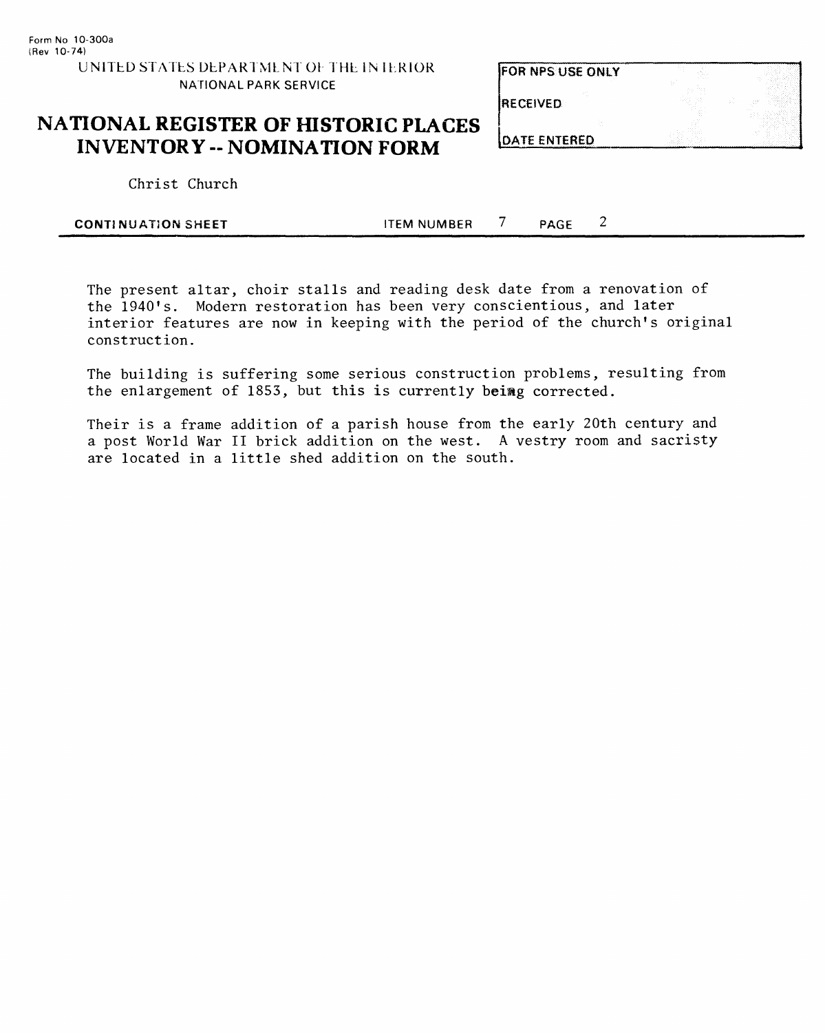| <b>FOR NPS USE ONLY</b> | v |   |
|-------------------------|---|---|
| RECEIVED                |   | . |
| <b>IDATE ENTERED</b>    |   |   |

## **NATIONAL REGISTER OF HISTORIC PLACES INVENTORY -- NOMINATION FORM**

Christ Church

| <b>CONTINUATION SHEET</b> | ITEM NUMBER | PAGE |  |  |
|---------------------------|-------------|------|--|--|
|                           |             |      |  |  |

The present altar, choir stalls and reading desk date from a renovation of the 1940's. Modern restoration has been very conscientious, and later interior features are now in keeping with the period of the church's original construction.

The building is suffering some serious construction problems, resulting from the enlargement of 1853, but this is currently being corrected.

Their is a frame addition of a parish house from the early 20th century and a post World War II brick addition on the west. A vestry room and sacristy are located in a little shed addition on the south.